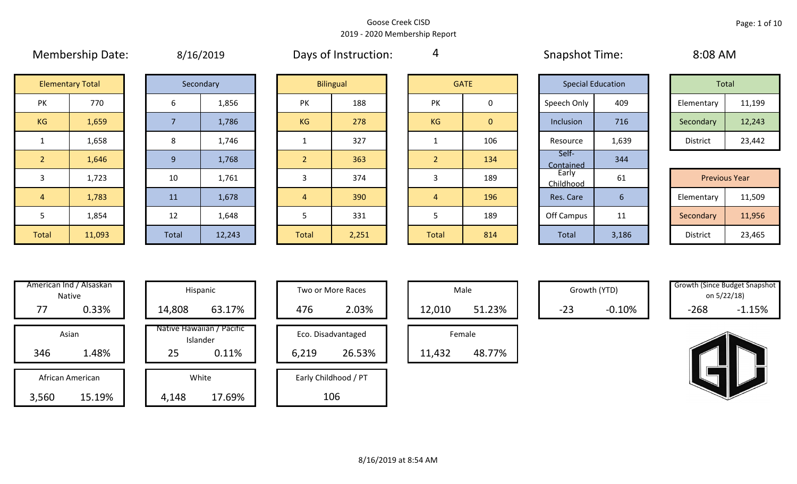4

# Membership Date:  $\mu$  8/16/2019 Membership Days of Instruction:  $\mu$  Snapshot Time: 8:08 AM

| Total           |        |  |  |  |  |  |  |
|-----------------|--------|--|--|--|--|--|--|
| Elementary      | 11,199 |  |  |  |  |  |  |
| Secondary       | 12,243 |  |  |  |  |  |  |
| <b>District</b> | 23,442 |  |  |  |  |  |  |

| <b>Previous Year</b> |        |  |  |  |  |  |  |  |
|----------------------|--------|--|--|--|--|--|--|--|
| Elementary           | 11,509 |  |  |  |  |  |  |  |
| Secondary            | 11,956 |  |  |  |  |  |  |  |
| <b>District</b>      | 23,465 |  |  |  |  |  |  |  |

| <b>Elementary Total</b> |        |  |  |  |  |  |
|-------------------------|--------|--|--|--|--|--|
| PK                      | 770    |  |  |  |  |  |
| ΚG                      | 1,659  |  |  |  |  |  |
| $\mathbf 1$             | 1,658  |  |  |  |  |  |
| $\overline{2}$          | 1,646  |  |  |  |  |  |
| 3                       | 1,723  |  |  |  |  |  |
| 4                       | 1,783  |  |  |  |  |  |
| 5                       | 1,854  |  |  |  |  |  |
| <b>Total</b>            | 11,093 |  |  |  |  |  |

|                | <b>Elementary Total</b> |                | Secondary |
|----------------|-------------------------|----------------|-----------|
| PΚ             | 770                     | 6              | 1,856     |
| <b>G</b>       | 1,659                   | $\overline{7}$ | 1,786     |
| $\mathbf{1}$   | 1,658                   | 8              | 1,746     |
| $\overline{2}$ | 1,646                   | 9              | 1,768     |
| 3              | 1,723                   | 10             | 1,761     |
| $\overline{4}$ | 1,783                   | 11             | 1,678     |
| 5              | 1,854                   | 12             | 1,648     |
| btal           | 11,093                  | <b>Total</b>   | 12,243    |

|                | <b>Elementary Total</b> |              | Secondary |  | <b>Bilingual</b> |       |           |                |                    |       |                      |        |  |  |  |  |  |  |  |  | <b>GATE</b> |  | <b>Special Education</b> |  | Total |  |
|----------------|-------------------------|--------------|-----------|--|------------------|-------|-----------|----------------|--------------------|-------|----------------------|--------|--|--|--|--|--|--|--|--|-------------|--|--------------------------|--|-------|--|
| PK             | 770                     | 6            | 1,856     |  | PK               | 188   | PK        | 0              | Speech Only        | 409   | Elementary           | 11,199 |  |  |  |  |  |  |  |  |             |  |                          |  |       |  |
| KG             | 1,659                   |              | 1,786     |  | KG               | 278   | <b>KG</b> | $\overline{0}$ | Inclusion          | 716   | Secondary            | 12,243 |  |  |  |  |  |  |  |  |             |  |                          |  |       |  |
| $\mathbf{1}$   | 1,658                   | 8            | 1,746     |  |                  | 327   |           | 106            | Resource           | 1,639 | District             | 23,442 |  |  |  |  |  |  |  |  |             |  |                          |  |       |  |
| <sup>2</sup>   | 1,646                   | $\mathbf{q}$ | 1,768     |  | $\overline{2}$   | 363   | ി         | 134            | Self-<br>Contained | 344   |                      |        |  |  |  |  |  |  |  |  |             |  |                          |  |       |  |
| $\overline{3}$ | 1,723                   | 10           | 1,761     |  | 3                | 374   | 3         | 189            | Early<br>Childhood | 61    | <b>Previous Year</b> |        |  |  |  |  |  |  |  |  |             |  |                          |  |       |  |
| $\overline{4}$ | 1,783                   | 11           | 1,678     |  | $\overline{4}$   | 390   | 4         | 196            | Res. Care          | 6     | Elementary           | 11,509 |  |  |  |  |  |  |  |  |             |  |                          |  |       |  |
| 5              | 1,854                   | 12           | 1,648     |  |                  | 331   |           | 189            | Off Campus         | 11    | Secondary            | 11,956 |  |  |  |  |  |  |  |  |             |  |                          |  |       |  |
| Total          | 11,093                  | Total        | 12,243    |  | Total            | 2,251 | Total     | 814            | Total              | 3,186 | District             | 23,465 |  |  |  |  |  |  |  |  |             |  |                          |  |       |  |

|                | <b>GATE</b> |
|----------------|-------------|
| PK             | 0           |
| KG             | 0           |
| 1              | 106         |
| $\overline{2}$ | 134         |
| 3              | 189         |
| $\overline{4}$ | 196         |
| 5              | 189         |
| <b>Total</b>   | 814         |

|                           | <b>Special Education</b> | <b>Total</b>    |                      |  |
|---------------------------|--------------------------|-----------------|----------------------|--|
| Speech Only               | 409                      | Elementary      | 11,199               |  |
| Inclusion                 | 716                      | Secondary       | 12,243               |  |
| Resource                  | 1,639                    | <b>District</b> | 23,442               |  |
| Self-<br><b>Contained</b> | 344                      |                 |                      |  |
| Early<br>Childhood        | 61                       |                 | <b>Previous Year</b> |  |
| Res. Care                 | 6                        | Elementary      | 11,509               |  |
| Off Campus                | 11                       | Secondary       | 11,956               |  |
| <b>Total</b>              | 3,186                    | <b>District</b> | 23,465               |  |

|       | American Ind / Alsaskan<br><b>Native</b> |        | Hispanic                              |
|-------|------------------------------------------|--------|---------------------------------------|
| 77    | 0.33%                                    | 14,808 | 63.17%                                |
|       | Asian                                    |        | Native Hawaiian / Pacific<br>Islander |
| 346   | 1.48%                                    | 25     | 0.11%                                 |
|       | African American                         |        | White                                 |
| 3,560 | 15.19%                                   | 4,148  | 17.69%                                |

| Native           | nerican ind / Alsaskan |        | Hispanic                              |  | Two or More Races |                      |  |        |        | Male  |          | Growth (YTD) | Growth (Since Budget Shapsr<br>on 5/22/18) |  |
|------------------|------------------------|--------|---------------------------------------|--|-------------------|----------------------|--|--------|--------|-------|----------|--------------|--------------------------------------------|--|
| 77               | 0.33%                  | 14,808 | 63.17%                                |  | 476               | 2.03%                |  | 12,010 | 51.23% | $-23$ | $-0.10%$ | $-268$       | $-1.15%$                                   |  |
| Asian            |                        |        | Native Hawaiian / Pacific<br>Islander |  |                   | Eco. Disadvantaged   |  |        | Female |       |          |              |                                            |  |
| 346              | 1.48%                  | 25     | 0.11%                                 |  | 6,219             | 26.53%               |  | 11,432 | 48.77% |       |          |              |                                            |  |
| African American |                        |        | White                                 |  |                   | Early Childhood / PT |  |        |        |       |          |              |                                            |  |
| 560.             | 15.19%                 | 4.148  | 17.69%                                |  |                   | 106                  |  |        |        |       |          |              |                                            |  |

| Hispanic                       |       | Two or More Races    |  |        | Male   |
|--------------------------------|-------|----------------------|--|--------|--------|
| 63.17%                         | 476   | 2.03%                |  | 12,010 |        |
| lawaiian / Pacific<br>Islander |       | Eco. Disadvantaged   |  |        | Female |
| 0.11%                          | 6,219 | 26.53%               |  | 11,432 |        |
| White                          |       | Early Childhood / PT |  |        |        |
| 17.69%                         | 106   |                      |  |        |        |

| Male   |        |  |  |  |  |  |  |  |
|--------|--------|--|--|--|--|--|--|--|
| 12,010 | 51.23% |  |  |  |  |  |  |  |
| Female |        |  |  |  |  |  |  |  |
| 11,432 | 48.77% |  |  |  |  |  |  |  |

| <b>Growth (Since Budget Snapshot</b> |          |  |  |  |  |  |  |
|--------------------------------------|----------|--|--|--|--|--|--|
| on 5/22/18)                          |          |  |  |  |  |  |  |
| -268                                 | $-1.15%$ |  |  |  |  |  |  |

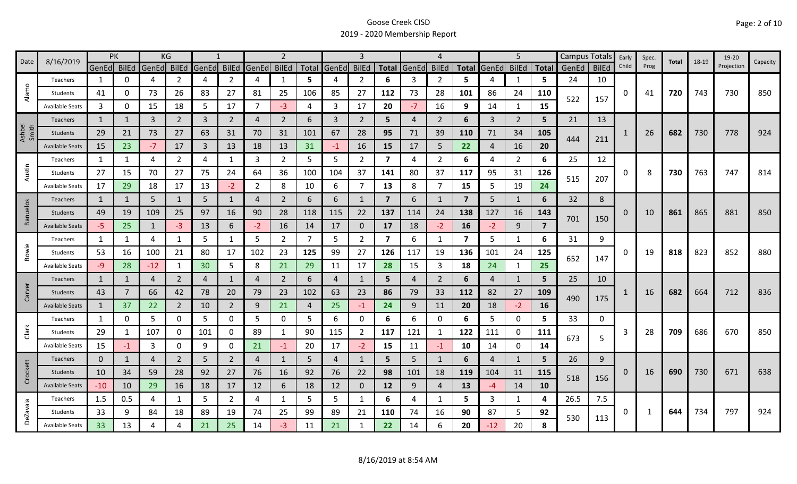|                 | 8/16/2019              | <b>PK</b>    |              |                | KG             |                                                                                                                                                                                                          |                |                         | $\overline{2}$ |     |                |                |                |                | 4              |                |                | 5              |              |       | Campus Totals | Early | Spec. | Total |                                                                      | 19-20      |          |
|-----------------|------------------------|--------------|--------------|----------------|----------------|----------------------------------------------------------------------------------------------------------------------------------------------------------------------------------------------------------|----------------|-------------------------|----------------|-----|----------------|----------------|----------------|----------------|----------------|----------------|----------------|----------------|--------------|-------|---------------|-------|-------|-------|----------------------------------------------------------------------|------------|----------|
| Date            |                        | GenEd BilEd  |              | GenEd          | <b>BilEd</b>   | GenEd                                                                                                                                                                                                    | <b>BilEd</b>   | GenEd                   | <b>BilEd</b>   |     | Total GenEd    | <b>BilEd</b>   | <b>Total</b>   | GenEd          | <b>BilEd</b>   | <b>Total</b>   | GenEd          | <b>BilEd</b>   | <b>Total</b> | GenEd | <b>BilEd</b>  | Child | Prog  |       | 18-19<br>743<br>730<br>763<br>865<br>823<br>664<br>686<br>730<br>734 | Projection | Capacity |
|                 | Teachers               | 1            | 0            | 4              | 2              | 4                                                                                                                                                                                                        | $\overline{2}$ | 4                       | $\mathbf{1}$   | 5   | 4              | 2              | 6              | 3              | $\overline{2}$ | 5              |                | 1              | 5.           | 24    | 10            |       |       |       |                                                                      |            |          |
| Alamo           | Students               | 41           | 0            | 73             | 26             | 83                                                                                                                                                                                                       | 27             | 81                      | 25             | 106 | 85             | 27             | 112            | 73             | 28             | 101            | 86             | 24             | 110          | 522   | 157           | 0     | 41    | 720   |                                                                      | 730        | 850      |
|                 | <b>Available Seats</b> | 3            | 0            | 15             | 18             | 5                                                                                                                                                                                                        | 17             | 7                       | $-3$           | 4   | 3              | 17             | 20             | $-7$           | 16             | 9              | 14             | 1              | 15           |       |               |       |       |       |                                                                      |            |          |
|                 | <b>Teachers</b>        | $\mathbf{1}$ |              | $\mathbf{3}$   | $\overline{2}$ | $\overline{3}$                                                                                                                                                                                           | $\overline{2}$ | 4                       | $\overline{2}$ | 6   | 3              | $\overline{2}$ | 5              | 4              | 2              | 6              | $\overline{3}$ | $\overline{2}$ | 5            | 21    | 13            |       |       |       |                                                                      |            |          |
| Ashbel<br>Smith | Students               | 29           | 21           | 73             | 27             | 63                                                                                                                                                                                                       | 31             | 70                      | 31             | 101 | 67             | 28             | 95             | 71             | 39             | 110            | 71             | 34             | 105          | 444   |               |       | 26    | 682   |                                                                      | 778        | 924      |
|                 | <b>Available Seats</b> | 15           | 23           | $-7$           | 17             | $\overline{3}$                                                                                                                                                                                           | 13             | 18                      | 13             | 31  | $-1$           | 16             | 15             | 17             | 5              | 22             | $\overline{4}$ | 16             | 20           |       | 211           |       |       |       |                                                                      |            |          |
|                 | Teachers               | 1            | 1            | 4              | 2              | 4                                                                                                                                                                                                        | 1              | 3                       | $\overline{2}$ | 5   | 5              | $\overline{2}$ | 7              | 4              | $\overline{2}$ | 6              | 4              | $\overline{2}$ | 6            | 25    | 12            |       |       |       |                                                                      |            |          |
| Austin          | Students               | 27           | 15           | 70             | 27             | 75                                                                                                                                                                                                       | 24             | 64                      | 36             | 100 | 104            | 37             | 141            | 80             | 37             | 117            | 95             | 31             | 126          | 515   | 207           | 0     | 8     | 730   |                                                                      | 747        | 814      |
|                 | <b>Available Seats</b> | 17           | 29           | 18             | 17             | 13                                                                                                                                                                                                       | $-2$           | $\overline{2}$          | 8              | 10  | 6              | $\overline{7}$ | 13             | 8              | 7              | 15             | 5              | 19             | 24           |       |               |       |       |       |                                                                      |            |          |
|                 | <b>Teachers</b>        | 1            | 1            | 5              | $\mathbf{1}$   | 5                                                                                                                                                                                                        | $\mathbf{1}$   | $\overline{4}$          | 2              | 6   | 6              |                | $\overline{7}$ | 6              | 1              | $\overline{7}$ | 5              | 1              | 6            | 32    | 8             |       |       |       |                                                                      |            |          |
| Banuelos        | Students               | 49           | 19           | 109            | 25             | 97                                                                                                                                                                                                       | 16             | 90                      | 28             | 118 | 115            | 22             | 137            | 114            | 24             | 138            | 127            | 16             | 143          |       |               | 0     | 10    | 861   |                                                                      | 881        | 850      |
|                 | <b>Available Seats</b> | $-5$         | 25           | $\mathbf{1}$   | $-3$           | 9<br>13<br>16<br>18<br>6<br>$-2$<br>14<br>17<br>0<br>17<br>$-2$<br>16<br>$-2$<br>$\overline{2}$<br>5<br>5<br>$\overline{2}$<br>7<br>6<br>7<br>$\mathbf{1}$<br>$\mathbf{1}$<br>5<br>7<br>$\mathbf 1$<br>5 |                | $\overline{\mathbf{z}}$ | 701            | 150 |                |                |                |                |                |                |                |                |              |       |               |       |       |       |                                                                      |            |          |
|                 | Teachers               | $\mathbf{1}$ | $\mathbf{1}$ | 4              | 1              |                                                                                                                                                                                                          |                |                         |                |     |                |                |                |                |                |                |                |                | 6            | 31    | 9             |       |       |       |                                                                      |            |          |
| Bowie           | Students               | 53           | 16           | 100            | 21             | 80                                                                                                                                                                                                       | 17             | 102                     | 23             | 125 | 99             | 27             | 126            | 117            | 19             | 136            | 101            | 24             | 125          |       |               | 0     | 19    | 818   |                                                                      | 852        | 880      |
|                 | <b>Available Seats</b> | -9           | 28           | $-12$          | 1              | 30                                                                                                                                                                                                       | 5              | 8                       | 21             | 29  | 11             | 17             | 28             | 15             | $\overline{3}$ | 18             | 24             | 1              | 25           | 652   | 147           |       |       |       |                                                                      |            |          |
|                 | Teachers               | $\mathbf{1}$ | $\mathbf{1}$ | 4              | $\overline{2}$ | $\overline{4}$                                                                                                                                                                                           | $\mathbf{1}$   | 4                       | $\overline{2}$ | 6   | 4              |                | 5              | 4              | 2              | 6              | 4              | $\mathbf{1}$   | 5            | 25    | 10            |       |       |       |                                                                      |            |          |
| Carver          | <b>Students</b>        | 43           | 7            | 66             | 42             | 78                                                                                                                                                                                                       | 20             | 79                      | 23             | 102 | 63             | 23             | 86             | 79             | 33             | 112            | 82             | 27             | 109          |       |               |       | 16    | 682   |                                                                      | 712        | 836      |
|                 | <b>Available Seats</b> | $\mathbf{1}$ | 37           | 22             | $\overline{2}$ | 10                                                                                                                                                                                                       | $\overline{2}$ | 9                       | 21             | 4   | 25             | $-1$           | 24             | 9              | 11             | 20             | 18             | $-2$           | 16           | 490   | 175           |       |       |       |                                                                      |            |          |
|                 | Teachers               | 1            | 0            | 5              | 0              | 5                                                                                                                                                                                                        | 0              | 5                       | 0              | 5.  | 6              | 0              | 6              | 6              | 0              | 6              | 5              | $\mathbf 0$    | 5.           | 33    | 0             |       |       |       |                                                                      |            |          |
| Clark           | Students               | 29           |              | 107            | 0              | 101                                                                                                                                                                                                      | 0              | 89                      | $\mathbf{1}$   | 90  | 115            | $\overline{2}$ | 117            | 121            | $\mathbf{1}$   | 122            | 111            | 0              | 111          | 673   |               | 3     | 28    | 709   |                                                                      | 670        | 850      |
|                 | <b>Available Seats</b> | 15           | -1           | 3              | 0              | 9                                                                                                                                                                                                        | 0              | 21                      | $-1$           | 20  | 17             | $-2$           | 15             | 11             | $-1$           | 10             | 14             | $\mathbf 0$    | 14           |       | 5             |       |       |       |                                                                      |            |          |
|                 | Teachers               | $\mathbf 0$  | 1            | $\overline{4}$ | $\overline{2}$ | 5                                                                                                                                                                                                        | $\overline{2}$ | 4                       | $\mathbf{1}$   | 5   | $\overline{4}$ |                | 5              | 5 <sup>1</sup> | $\mathbf{1}$   | 6              | 4              | 1              | 5            | 26    | 9             |       |       |       |                                                                      |            |          |
| Crockett        | Students               | 10           | 34           | 59             | 28             | 92                                                                                                                                                                                                       | 27             | 76                      | 16             | 92  | 76             | 22             | 98             | 101            | 18             | 119            | 104            | 11             | 115          | 518   |               | 0     | 16    | 690   |                                                                      | 671        | 638      |
|                 | <b>Available Seats</b> | $-10$        | 10           | 29             | 16             | 18                                                                                                                                                                                                       | 17             | 12                      | 6              | 18  | 12             | $\mathbf{0}$   | 12             | 9              | $\overline{4}$ | 13             | -4             | 14             | <b>10</b>    |       | 156           |       |       |       |                                                                      |            |          |
|                 | Teachers               | 1.5          | 0.5          | 4              | 1              | 5                                                                                                                                                                                                        | $\overline{2}$ | 4                       | 1              | 5   | 5              | 1              | 6              | 4              | -1             | 5.             | 3              | $\mathbf{1}$   | 4            | 26.5  | 7.5           |       |       |       |                                                                      |            |          |
| <b>DeZavala</b> | Students               | 33           | 9            | 84             | 18             | 89                                                                                                                                                                                                       | 19             | 74                      | 25             | 99  | 89             | 21             | 110            | 74             | 16             | 90             | 87             | 5              | 92           | 530   |               | 0     | 1     | 644   |                                                                      | 797        | 924      |
|                 | <b>Available Seats</b> | 33           | 13           | 4              |                | 21                                                                                                                                                                                                       | 25             | 14                      | $-3$           | 11  | 21             |                | 22             | 14             | 6              | 20             | -12            | 20             | 8            |       | 113           |       |       |       |                                                                      |            |          |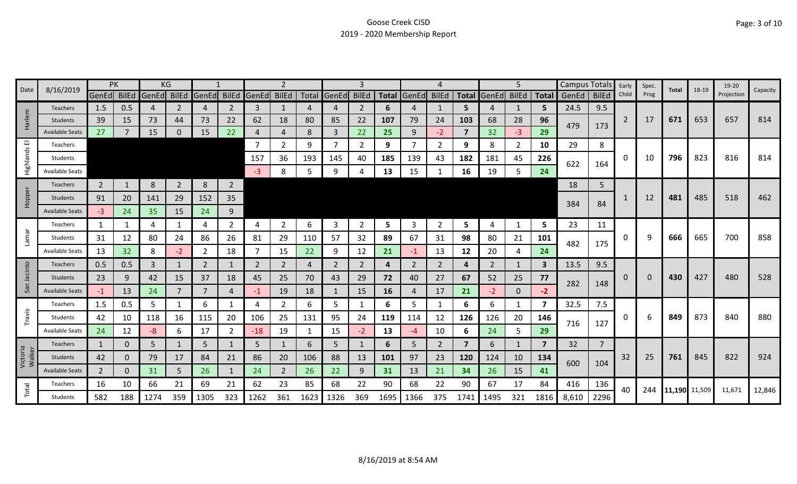| Date               | 8/16/2019              |                | PK           |                         | ΚG             |                |                |             |                |      |                |              |           |             |                |                |                   | 5            |              | Campus Totals |                | Early | Spec. | Total         | 18-19 | 19-20      | Capacity |
|--------------------|------------------------|----------------|--------------|-------------------------|----------------|----------------|----------------|-------------|----------------|------|----------------|--------------|-----------|-------------|----------------|----------------|-------------------|--------------|--------------|---------------|----------------|-------|-------|---------------|-------|------------|----------|
|                    |                        |                |              | GenEd BilEd GenEd BilEd |                | GenEd          |                | BilEd GenEd | <b>BilEd</b>   |      | Total GenEd    | <b>BilEd</b> |           | Total GenEd | <b>BilEd</b>   |                | Total GenEd BilEd |              | <b>Total</b> | GenEd         | <b>BilEd</b>   | Child | Prog  |               |       | Projection |          |
|                    | Teachers               | 1.5            | 0.5          | 4                       | 2              | 4              | $\overline{2}$ | 3           | 1              |      | 4              | 2            | 6         |             | 1              | 5.             | 4                 | 1            | 5            | 24.5          | 9.5            |       |       |               |       |            |          |
| arlem              | <b>Students</b>        | 39             | 15           | 73                      | 44             | 73             | 22             | 62          | 18             | 80   | 85             | 22           | 107       | 79          | 24             | 103            | 68                | 28           | 96           | 479           | 173            | 2     | 17    | 671           | 653   | 657        | 814      |
| I                  | <b>Available Seats</b> | 27             |              | 15                      | 0              | 15             | 22             | 4           | $\overline{4}$ | 8    | $\overline{3}$ | 22           | 25        | 9           | $-2$           | $\overline{7}$ | 32                | $-3$         | 29           |               |                |       |       |               |       |            |          |
| ш                  | Teachers               |                |              |                         |                |                |                | 7           | 2              | 9    | $\overline{7}$ | 2            | 9         |             | 2              | 9              | 8                 | 2            | 10           | 29            | 8              |       |       |               |       |            |          |
| Highlands          | Students               |                |              |                         |                |                |                | 157         | 36             | 193  | 145            | 40           | 185       | 139         | 43             | 182            | 181               | 45           | 226          | 622           | 164            | 0     | 10    | 796           | 823   | 816        | 814      |
|                    | <b>Available Seats</b> |                |              |                         |                |                |                | $-3$        | 8              | 5    | 9              |              | 13        | 15          |                | 16             | 19                | 5.           | 24           |               |                |       |       |               |       |            |          |
|                    | Teachers               | $\overline{2}$ |              | 8                       | $\overline{2}$ | 8              | $\overline{2}$ |             |                |      |                |              |           |             |                |                |                   |              |              | 18            | 5              |       |       |               |       |            |          |
| Hopper             | <b>Students</b>        | 91             | 20           | 141                     | 29             | 152            | 35             |             |                |      |                |              |           |             |                |                |                   |              |              |               |                |       | 12    | 481           | 485   | 518        | 462      |
|                    | <b>Available Seats</b> | $-3$           | 24           | 35                      | 15             | 24             | 9              |             |                |      |                |              |           |             |                |                |                   |              |              | 384           | 84             |       |       |               |       |            |          |
|                    | <b>Teachers</b>        | 1              |              | 4                       | 1              | 4              | $\overline{2}$ | 4           | 2              | 6    | 3              | 2            | 5         | 3           | 2              | 5              | 4                 | 1            | 5            | 23            | 11             |       |       |               |       |            |          |
| Lamar              | Students               | 31             | 12           | 80                      | 24             | 86             | 26             | 81          | 29             | 110  | 57             | 32           | 89        | 67          | 31             | 98             | 80                | 21           | 101          |               |                | 0     | q     | 666           | 665   | 700        | 858      |
|                    | Available Seats        | 13             | 32           | 8                       | $-2$           | 2              | 18             |             | 15             | 22   | 9              | 12           | 21        | $-1$        | 13             | 12             | 20                | 4            | 24           | 482           | 175            |       |       |               |       |            |          |
|                    | Teachers               | 0.5            | 0.5          | 3                       | 1              | $\overline{2}$ | 1              | 2           | $\overline{2}$ | 4    | 2              | 2            | 4         | 2           | 2              | 4              | 2                 | 1            | 3            | 13.5          | 9.5            |       |       |               |       |            |          |
| Jacinto            | <b>Students</b>        | 23             | 9            | 42                      | 15             | 37             | 18             | 45          | 25             | 70   | 43             | 29           | 72        | 40          | 27             | 67             | 52                | 25           | 77           |               |                | 0     | 0     | 430           | 427   | 480        | 528      |
| San                | <b>Available Seats</b> | $-1$           | 13           | 24                      | 7              | 7              | 4              | -1          | 19             | 18   | $\mathbf{1}$   | 15           | <b>16</b> | 4           | 17             | 21             | $-2$              | $\mathbf{0}$ | $-2$         | 282           | 148            |       |       |               |       |            |          |
|                    | Teachers               | 1.5            | 0.5          | 5                       | 1              | 6              | $\mathbf{1}$   | Δ           | $\overline{2}$ | 6    | 5              | -1           | 6         | 5           | -1             | 6              | 6                 | 1            | 7            | 32.5          | 7.5            |       |       |               |       |            |          |
| Travis             | Students               | 42             | 10           | 118                     | 16             | 115            | 20             | 106         | 25             | 131  | 95             | 24           | 119       | 114         | 12             | 126            | 126               | 20           | 146          |               |                | 0     |       | 849           | 873   | 840        | 880      |
|                    | Available Seats        | 24             | 12           | $-8$                    | 6              | 17             | $\overline{2}$ | $-18$       | 19             |      | 15             | $-2$         | 13        | -4          | 10             | 6              | 24                | 5            | 29           | 716           | 127            |       |       |               |       |            |          |
|                    | Teachers               | $\mathbf{1}$   | 0            | 5                       |                | 5              |                | 5           | 1              | 6    | 5              |              | 6         | 5.          | $\overline{2}$ | $\overline{7}$ | 6                 | 1            | 7            | 32            | $\overline{7}$ |       |       |               |       |            |          |
| Victoria<br>Walker | <b>Students</b>        | 42             | $\mathbf{0}$ | 79                      | 17             | 84             | 21             | 86          | 20             | 106  | 88             | 13           | 101       | 97          | 23             | 120            | 124               | 10           | 134          |               |                | 32    | 25    | 761           | 845   | 822        | 924      |
|                    | <b>Available Seats</b> | $\overline{2}$ | $\Omega$     | 31                      | 5              | 26             | $\mathbf{1}$   | 24          | $\overline{2}$ | 26   | 22             | 9            | 31        | 13          | 21             | 34             | 26                | 15           | 41           | 600           | 104            |       |       |               |       |            |          |
|                    | Teachers               | 16             | 10           | 66                      | 21             | 69             | 21             | 62          | 23             | 85   | 68             | 22           | 90        | 68          | 22             | 90             | 67                | 17           | 84           | 416           | 136            | 40    | 244   | 11,190 11,509 |       | 11,671     | 12,846   |
| Total              | Students               | 582            | 188          | 1274                    | 359            | 1305           | 323            | 1262        | 361            | 1623 | 1326           | 369          | 1695      | 1366        | 375            | 1741           | 1495              | 321          | 1816         | 8,610         | 2296           |       |       |               |       |            |          |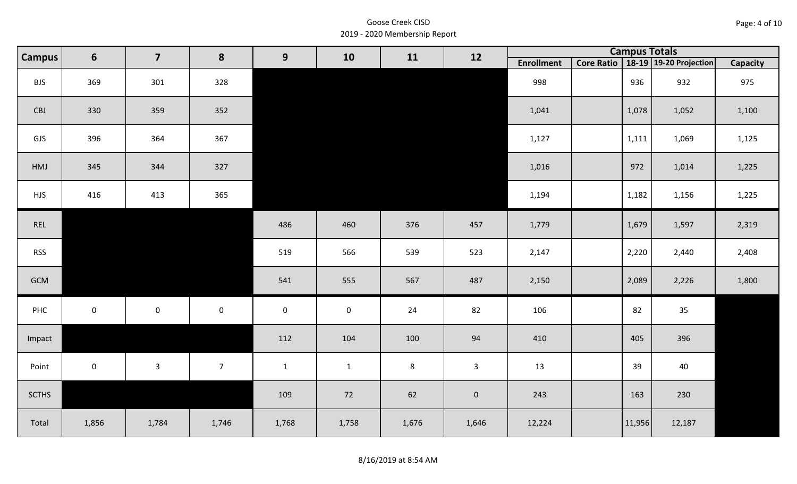| Page: 4 of 10 |  |
|---------------|--|
|---------------|--|

| <b>Campus</b> | $6\phantom{1}$ | $\overline{\mathbf{z}}$ | 8              | 9                   | 10                  | 11      | 12           |                   | <b>Campus Totals</b> |                                       |                 |
|---------------|----------------|-------------------------|----------------|---------------------|---------------------|---------|--------------|-------------------|----------------------|---------------------------------------|-----------------|
|               |                |                         |                |                     |                     |         |              | <b>Enrollment</b> |                      | Core Ratio   18-19   19-20 Projection | <b>Capacity</b> |
| <b>BJS</b>    | 369            | 301                     | 328            |                     |                     |         |              | 998               | 936                  | 932                                   | 975             |
| CBJ           | 330            | 359                     | 352            |                     |                     |         |              | 1,041             | 1,078                | 1,052                                 | 1,100           |
| GJS           | 396            | 364                     | 367            |                     |                     |         |              | 1,127             | 1,111                | 1,069                                 | 1,125           |
| HMJ           | 345            | 344                     | 327            |                     |                     |         |              | 1,016             | 972                  | 1,014                                 | 1,225           |
| <b>HJS</b>    | 416            | 413                     | 365            |                     |                     |         |              | 1,194             | 1,182                | 1,156                                 | 1,225           |
| REL           |                |                         |                | 486                 | 460                 | 376     | 457          | 1,779             | 1,679                | 1,597                                 | 2,319           |
| <b>RSS</b>    |                |                         |                | 519                 | 566                 | 539     | 523          | 2,147             | 2,220                | 2,440                                 | 2,408           |
| GCM           |                |                         |                | 541                 | 555                 | 567     | 487          | 2,150             | 2,089                | 2,226                                 | 1,800           |
| PHC           | $\mathbf 0$    | $\mathbf 0$             | $\mathbf 0$    | $\mathsf{O}\xspace$ | $\mathsf{O}\xspace$ | 24      | 82           | 106               | 82                   | 35                                    |                 |
| Impact        |                |                         |                | 112                 | 104                 | 100     | 94           | 410               | 405                  | 396                                   |                 |
| Point         | $\mathbf{0}$   | $\mathbf{3}$            | $\overline{7}$ | $\mathbf{1}$        | $\mathbf{1}$        | $\,8\,$ | $\mathbf{3}$ | 13                | 39                   | 40                                    |                 |
| <b>SCTHS</b>  |                |                         |                | 109                 | 72                  | 62      | $\mathbf 0$  | 243               | 163                  | 230                                   |                 |
| Total         | 1,856          | 1,784                   | 1,746          | 1,768               | 1,758               | 1,676   | 1,646        | 12,224            | 11,956               | 12,187                                |                 |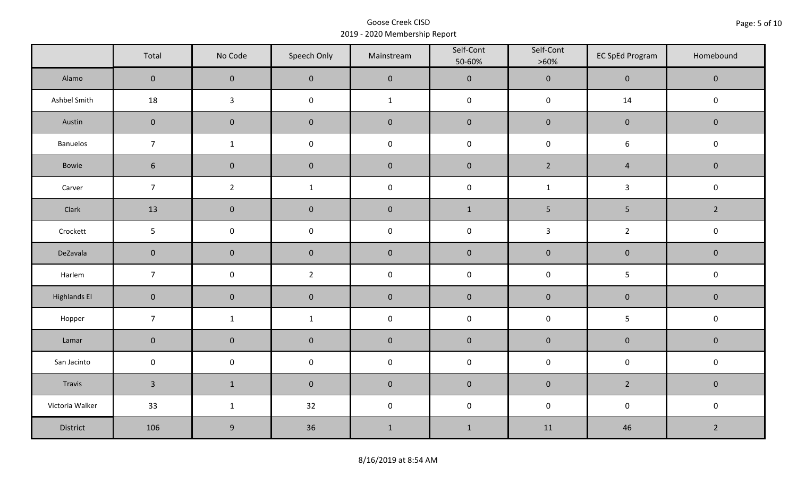|                     | Total           | No Code             | Speech Only    | Mainstream   | Self-Cont<br>50-60% | Self-Cont<br>$>60\%$ | <b>EC SpEd Program</b> | Homebound      |
|---------------------|-----------------|---------------------|----------------|--------------|---------------------|----------------------|------------------------|----------------|
| Alamo               | $\mathbf 0$     | $\mathbf 0$         | $\mathbf 0$    | $\pmb{0}$    | $\pmb{0}$           | $\pmb{0}$            | $\pmb{0}$              | $\mathbf 0$    |
| Ashbel Smith        | 18              | $\mathbf{3}$        | $\mathsf 0$    | $\mathbf{1}$ | $\pmb{0}$           | $\pmb{0}$            | 14                     | $\pmb{0}$      |
| Austin              | $\mathbf 0$     | $\mathbf 0$         | $\mathbf 0$    | $\pmb{0}$    | $\pmb{0}$           | $\pmb{0}$            | $\pmb{0}$              | $\pmb{0}$      |
| <b>Banuelos</b>     | $\overline{7}$  | $\mathbf{1}$        | $\pmb{0}$      | $\pmb{0}$    | $\pmb{0}$           | $\pmb{0}$            | $\boldsymbol{6}$       | $\pmb{0}$      |
| Bowie               | $6\phantom{.}6$ | $\mathbf 0$         | $\mathbf 0$    | $\pmb{0}$    | $\pmb{0}$           | $\overline{2}$       | $\sqrt{4}$             | $\mathbf 0$    |
| Carver              | $\overline{7}$  | $\overline{2}$      | $\mathbf{1}$   | $\pmb{0}$    | $\pmb{0}$           | $\mathbf{1}$         | $\mathbf{3}$           | $\pmb{0}$      |
| Clark               | 13              | $\mathbf 0$         | $\mathbf 0$    | $\pmb{0}$    | $\mathbf{1}$        | 5                    | 5                      | $\overline{2}$ |
| Crockett            | 5 <sub>5</sub>  | $\mathbf 0$         | $\mathbf 0$    | $\pmb{0}$    | $\pmb{0}$           | $\overline{3}$       | $\overline{2}$         | $\pmb{0}$      |
| DeZavala            | $\mathbf 0$     | $\mathbf 0$         | $\mathbf 0$    | $\pmb{0}$    | $\pmb{0}$           | $\pmb{0}$            | $\pmb{0}$              | $\pmb{0}$      |
| Harlem              | $\overline{7}$  | $\mathsf{O}\xspace$ | $\overline{2}$ | $\pmb{0}$    | $\pmb{0}$           | $\pmb{0}$            | 5                      | $\pmb{0}$      |
| <b>Highlands El</b> | $\overline{0}$  | $\mathbf 0$         | $\mathbf 0$    | $\pmb{0}$    | $\pmb{0}$           | $\pmb{0}$            | $\pmb{0}$              | $\mathbf 0$    |
| Hopper              | $\overline{7}$  | $\mathbf{1}$        | $\mathbf{1}$   | $\pmb{0}$    | $\pmb{0}$           | $\pmb{0}$            | 5                      | $\mathsf 0$    |
| Lamar               | $\mathbf 0$     | $\pmb{0}$           | $\pmb{0}$      | $\pmb{0}$    | $\pmb{0}$           | $\pmb{0}$            | $\pmb{0}$              | $\pmb{0}$      |
| San Jacinto         | $\mathbf 0$     | $\mathbf 0$         | $\mathbf 0$    | $\pmb{0}$    | $\pmb{0}$           | $\pmb{0}$            | $\pmb{0}$              | $\pmb{0}$      |
| Travis              | $\overline{3}$  | $1\,$               | $\mathbf 0$    | $\pmb{0}$    | $\pmb{0}$           | $\pmb{0}$            | $\overline{2}$         | $\mathbf 0$    |
| Victoria Walker     | 33              | $\mathbf{1}$        | 32             | $\pmb{0}$    | $\pmb{0}$           | $\pmb{0}$            | $\pmb{0}$              | $\pmb{0}$      |
| District            | 106             | 9                   | 36             | $1\,$        | $1\,$               | 11                   | 46                     | $\overline{2}$ |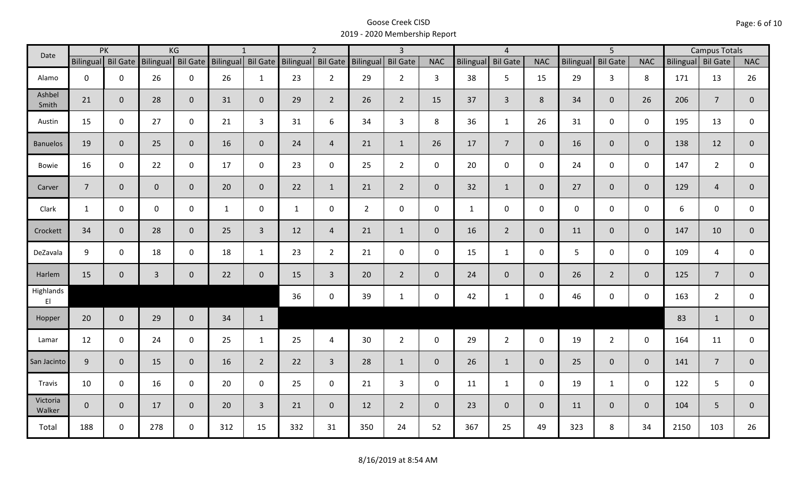| Date               |                    | PK           |                    | KG             |                    | $\mathbf{1}$   |                  | $\overline{2}$ |                    | $\overline{\mathbf{3}}$ |                |                  | $\overline{4}$  |                |                  | $\overline{5}$  |                |                    | <b>Campus Totals</b> |              |
|--------------------|--------------------|--------------|--------------------|----------------|--------------------|----------------|------------------|----------------|--------------------|-------------------------|----------------|------------------|-----------------|----------------|------------------|-----------------|----------------|--------------------|----------------------|--------------|
|                    | Bilingual Bil Gate |              | Bilingual Bil Gate |                | Bilingual Bil Gate |                | <b>Bilingual</b> |                | Bil Gate Bilingual | <b>Bil Gate</b>         | <b>NAC</b>     | <b>Bilingual</b> | <b>Bil Gate</b> | <b>NAC</b>     | <b>Bilingual</b> | <b>Bil Gate</b> | <b>NAC</b>     | Bilingual Bil Gate |                      | <b>NAC</b>   |
| Alamo              | $\mathbf 0$        | $\mathbf 0$  | 26                 | $\mathbf 0$    | 26                 | $\mathbf{1}$   | 23               | $2^{\circ}$    | 29                 | $2^{\circ}$             | $\overline{3}$ | 38               | 5               | 15             | 29               | $\overline{3}$  | 8              | 171                | 13                   | 26           |
| Ashbel<br>Smith    | 21                 | $\mathbf 0$  | 28                 | $\mathbf{0}$   | 31                 | $\mathbf 0$    | 29               | $\overline{2}$ | 26                 | $2^{\circ}$             | 15             | 37               | $\overline{3}$  | 8              | 34               | $\overline{0}$  | 26             | 206                | $\overline{7}$       | $\mathbf 0$  |
| Austin             | 15                 | $\mathbf 0$  | 27                 | $\mathbf 0$    | 21                 | $\overline{3}$ | 31               | 6              | 34                 | $\overline{3}$          | 8              | 36               | $\mathbf{1}$    | 26             | 31               | $\mathbf 0$     | $\mathbf 0$    | 195                | 13                   | $\mathsf{O}$ |
| <b>Banuelos</b>    | 19                 | $\mathbf{0}$ | 25                 | $\overline{0}$ | 16                 | $\mathbf{0}$   | 24               | $\overline{4}$ | 21                 | $\mathbf{1}$            | 26             | 17               | $7\overline{ }$ | $\overline{0}$ | 16               | $\overline{0}$  | $\overline{0}$ | 138                | 12                   | $\mathbf{0}$ |
| <b>Bowie</b>       | 16                 | $\mathbf 0$  | 22                 | $\mathbf 0$    | 17                 | $\mathbf 0$    | 23               | $\mathbf 0$    | 25                 | $2^{\circ}$             | $\mathsf{O}$   | 20               | $\mathbf 0$     | $\mathbf 0$    | 24               | $\mathbf 0$     | $\mathbf 0$    | 147                | $\overline{2}$       | $\mathbf 0$  |
| Carver             | $\overline{7}$     | $\mathbf{0}$ | $\mathbf{0}$       | $\mathbf 0$    | 20                 | $\mathbf{0}$   | 22               | $\mathbf{1}$   | 21                 | $2^{\circ}$             | $\overline{0}$ | 32               | $\mathbf{1}$    | $\overline{0}$ | 27               | $\overline{0}$  | $\overline{0}$ | 129                | $\overline{4}$       | $\mathbf{0}$ |
| Clark              | $\mathbf{1}$       | $\mathbf 0$  | $\mathsf{O}$       | $\mathbf 0$    | $\mathbf{1}$       | $\mathbf 0$    | $\mathbf{1}$     | $\mathbf 0$    | $\overline{2}$     | $\mathsf{O}$            | $\mathbf 0$    | $\mathbf{1}$     | $\mathbf 0$     | $\mathsf{O}$   | $\mathbf 0$      | $\mathbf 0$     | $\mathbf 0$    | 6                  | $\mathbf 0$          | $\mathbf 0$  |
| Crockett           | 34                 | $\mathbf{0}$ | 28                 | $\mathbf{0}$   | 25                 | $\overline{3}$ | 12               | $\overline{4}$ | 21                 | $\mathbf{1}$            | $\mathbf 0$    | 16               | $2^{\circ}$     | $\overline{0}$ | 11               | $\mathbf{0}$    | $\overline{0}$ | 147                | 10                   | $\mathbf 0$  |
| DeZavala           | 9                  | $\mathbf 0$  | 18                 | $\mathbf 0$    | 18                 | $\mathbf{1}$   | 23               | $2^{\circ}$    | 21                 | $\mathsf{O}$            | $\mathbf 0$    | 15               | $\mathbf{1}$    | $\mathbf 0$    | 5                | $\mathbf 0$     | $\mathbf 0$    | 109                | 4                    | $\mathbf 0$  |
| Harlem             | 15                 | $\mathbf 0$  | $\overline{3}$     | $\mathbf 0$    | 22                 | $\mathbf 0$    | 15               | $\overline{3}$ | 20                 | $2^{\circ}$             | $\mathbf{0}$   | 24               | $\overline{0}$  | $\overline{0}$ | 26               | $2^{\circ}$     | $\overline{0}$ | 125                | $\overline{7}$       | $\mathbf{0}$ |
| Highlands<br>EI    |                    |              |                    |                |                    |                | 36               | $\mathbf 0$    | 39                 | $\mathbf{1}$            | $\mathbf 0$    | 42               | $\mathbf{1}$    | $\mathsf{O}$   | 46               | $\mathbf 0$     | $\mathbf 0$    | 163                | $\overline{2}$       | $\mathbf{0}$ |
| Hopper             | 20                 | $\mathbf 0$  | 29                 | $\overline{0}$ | 34                 | $\mathbf{1}$   |                  |                |                    |                         |                |                  |                 |                |                  |                 |                | 83                 | $\mathbf{1}$         | $\mathbf 0$  |
| Lamar              | 12                 | $\mathbf 0$  | 24                 | $\mathbf 0$    | 25                 | $\mathbf{1}$   | 25               | 4              | 30                 | $2^{\circ}$             | $\mathsf{O}$   | 29               | $\overline{2}$  | $\mathsf{O}$   | 19               | $2^{\circ}$     | $\mathbf 0$    | 164                | 11                   | $\mathbf 0$  |
| San Jacinto        | 9                  | $\mathbf 0$  | 15                 | $\mathbf{0}$   | 16                 | $2^{\circ}$    | 22               | $\overline{3}$ | 28                 | $\mathbf{1}$            | $\overline{0}$ | 26               | $\mathbf{1}$    | $\overline{0}$ | 25               | $\overline{0}$  | $\overline{0}$ | 141                | $\overline{7}$       | $\mathbf 0$  |
| Travis             | 10                 | $\mathbf 0$  | 16                 | $\mathbf 0$    | 20                 | $\mathbf 0$    | 25               | $\mathbf 0$    | 21                 | $\mathbf{3}$            | $\mathsf{O}$   | 11               | $\mathbf{1}$    | $\mathbf 0$    | 19               | $\mathbf{1}$    | $\mathbf 0$    | 122                | 5                    | $\mathbf 0$  |
| Victoria<br>Walker | $\overline{0}$     | $\mathbf 0$  | 17                 | $\overline{0}$ | 20                 | $\overline{3}$ | 21               | $\overline{0}$ | 12                 | $2^{\circ}$             | $\mathbf{0}$   | 23               | $\overline{0}$  | $\mathbf{0}$   | 11               | $\mathbf{0}$    | $\overline{0}$ | 104                | 5                    | $\mathbf 0$  |
| Total              | 188                | $\mathbf 0$  | 278                | $\mathbf 0$    | 312                | 15             | 332              | 31             | 350                | 24                      | 52             | 367              | 25              | 49             | 323              | 8               | 34             | 2150               | 103                  | 26           |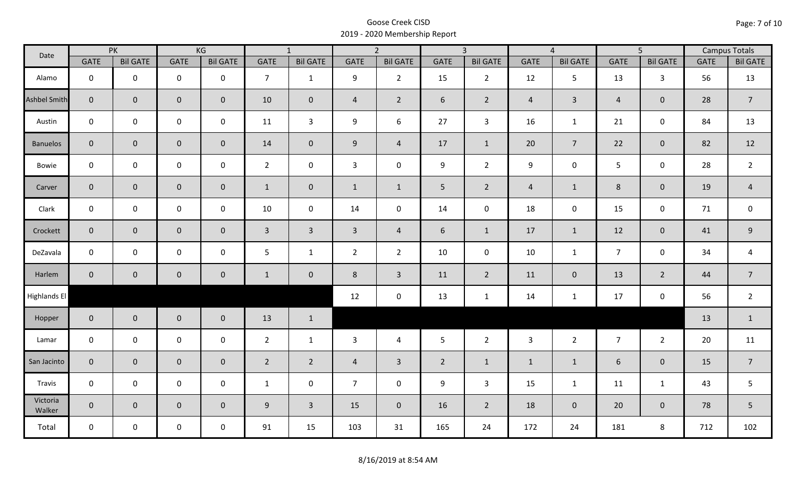| Date               |                | PK              |                     | KG              |                | $\overline{1}$  |                | $\overline{2}$  |                | $\overline{3}$  |                | $\overline{4}$  |                | $\overline{5}$  |             | <b>Campus Totals</b> |
|--------------------|----------------|-----------------|---------------------|-----------------|----------------|-----------------|----------------|-----------------|----------------|-----------------|----------------|-----------------|----------------|-----------------|-------------|----------------------|
|                    | <b>GATE</b>    | <b>Bil GATE</b> | <b>GATE</b>         | <b>Bil GATE</b> | <b>GATE</b>    | <b>Bil GATE</b> | <b>GATE</b>    | <b>Bil GATE</b> | <b>GATE</b>    | <b>Bil GATE</b> | <b>GATE</b>    | <b>Bil GATE</b> | <b>GATE</b>    | <b>Bil GATE</b> | <b>GATE</b> | <b>Bil GATE</b>      |
| Alamo              | $\mathbf{0}$   | $\mathbf 0$     | $\mathbf 0$         | $\mathbf 0$     | $\overline{7}$ | $\mathbf{1}$    | 9              | $\overline{2}$  | 15             | $2^{\circ}$     | 12             | 5               | 13             | $\mathbf{3}$    | 56          | 13                   |
| Ashbel Smith       | $\mathbf{0}$   | $\overline{0}$  | $\mathbf 0$         | $\overline{0}$  | 10             | $\mathbf 0$     | $\overline{4}$ | $\overline{2}$  | 6              | $2^{\circ}$     | $\overline{4}$ | $\mathbf{3}$    | $\overline{4}$ | $\mathbf{0}$    | 28          | $\overline{7}$       |
| Austin             | $\mathbf 0$    | $\mathbf 0$     | $\mathbf 0$         | $\mathbf 0$     | 11             | $\overline{3}$  | 9              | 6               | 27             | $\mathbf{3}$    | 16             | $\mathbf{1}$    | 21             | $\mathbf 0$     | 84          | 13                   |
| <b>Banuelos</b>    | $\overline{0}$ | $\mathbf{0}$    | $\mathbf 0$         | $\overline{0}$  | 14             | $\mathbf{0}$    | 9              | $\overline{4}$  | 17             | $\mathbf{1}$    | 20             | $\overline{7}$  | 22             | $\overline{0}$  | 82          | 12                   |
| Bowie              | $\mathbf 0$    | $\mathbf 0$     | $\mathsf{O}\xspace$ | $\mathbf 0$     | $2^{\circ}$    | $\mathbf 0$     | $\mathbf{3}$   | $\mathbf 0$     | 9              | $2^{\circ}$     | 9              | 0               | 5 <sub>1</sub> | $\mathbf 0$     | 28          | $\overline{2}$       |
| Carver             | $\overline{0}$ | $\mathbf 0$     | $\mathbf 0$         | $\overline{0}$  | $\mathbf{1}$   | $\mathbf 0$     | $\mathbf{1}$   | $\mathbf{1}$    | 5 <sub>1</sub> | $\overline{2}$  | $\overline{4}$ | $\mathbf{1}$    | $8\phantom{1}$ | $\mathbf{0}$    | 19          | $\overline{4}$       |
| Clark              | $\mathbf 0$    | $\mathbf 0$     | $\pmb{0}$           | 0               | 10             | $\mathbf 0$     | 14             | $\mathbf 0$     | 14             | $\mathbf 0$     | 18             | $\mathbf 0$     | 15             | $\mathbf 0$     | 71          | $\mathbf 0$          |
| Crockett           | $\overline{0}$ | $\mathbf{0}$    | $\mathbf 0$         | $\mathbf{0}$    | $\mathbf{3}$   | $\overline{3}$  | $\overline{3}$ | $\overline{4}$  | 6              | $\mathbf{1}$    | 17             | $\mathbf{1}$    | 12             | $\mathbf 0$     | 41          | $9\,$                |
| DeZavala           | $\mathbf 0$    | $\mathbf 0$     | $\mathbf 0$         | $\mathbf 0$     | 5              | $\mathbf{1}$    | $\overline{2}$ | $\overline{2}$  | 10             | $\mathbf 0$     | 10             | $\mathbf{1}$    | $\overline{7}$ | $\mathbf 0$     | 34          | $\overline{a}$       |
| Harlem             | $\overline{0}$ | $\overline{0}$  | $\mathbf 0$         | $\mathbf{0}$    | $\mathbf{1}$   | $\overline{0}$  | 8              | $\overline{3}$  | 11             | $\overline{2}$  | 11             | $\overline{0}$  | 13             | $\overline{2}$  | 44          | $\overline{7}$       |
| Highlands El       |                |                 |                     |                 |                |                 | 12             | $\mathbf 0$     | 13             | $\mathbf{1}$    | 14             | $\mathbf{1}$    | 17             | $\mathbf 0$     | 56          | $\overline{2}$       |
| Hopper             | $\overline{0}$ | $\overline{0}$  | $\mathbf 0$         | $\overline{0}$  | 13             | $\mathbf{1}$    |                |                 |                |                 |                |                 |                |                 | 13          | $\mathbf{1}$         |
| Lamar              | $\mathbf 0$    | $\mathbf 0$     | $\mathbf 0$         | $\mathbf 0$     | $2^{\circ}$    | $\mathbf{1}$    | 3              | $\overline{4}$  | 5              | $\overline{2}$  | $\overline{3}$ | $\overline{2}$  | $\overline{7}$ | $2^{\circ}$     | 20          | 11                   |
| San Jacinto        | $\mathbf 0$    | $\overline{0}$  | $\mathbf 0$         | $\mathbf 0$     | $\overline{2}$ | $\overline{2}$  | $\overline{a}$ | $\overline{3}$  | $\overline{2}$ | $\mathbf{1}$    | $\mathbf{1}$   | $\mathbf{1}$    | 6              | $\mathbf 0$     | 15          | $\overline{7}$       |
| Travis             | $\mathbf 0$    | $\mathbf 0$     | $\mathsf{O}\xspace$ | $\mathbf 0$     | $\mathbf{1}$   | $\mathbf 0$     | $\overline{7}$ | $\mathbf 0$     | 9              | $\mathbf{3}$    | 15             | $\mathbf{1}$    | 11             | $\mathbf{1}$    | 43          | 5                    |
| Victoria<br>Walker | $\overline{0}$ | $\mathbf 0$     | $\mathbf 0$         | $\overline{0}$  | 9              | $\overline{3}$  | 15             | $\mathbf{0}$    | 16             | $2^{\circ}$     | 18             | $\mathbf 0$     | 20             | $\overline{0}$  | 78          | 5                    |
| Total              | $\mathbf 0$    | $\mathbf 0$     | $\mathbf 0$         | $\mathbf 0$     | 91             | 15              | 103            | 31              | 165            | 24              | 172            | 24              | 181            | 8               | 712         | 102                  |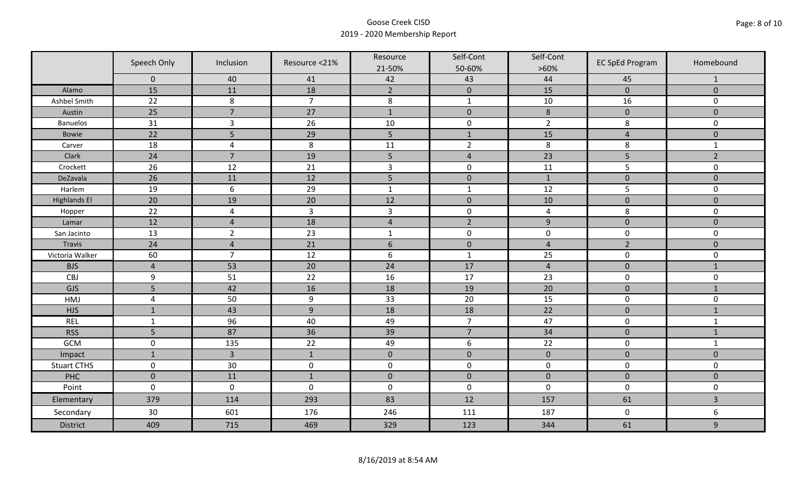|                     | Speech Only       | Inclusion      | Resource <21%  | Resource             | Self-Cont      | Self-Cont      | <b>EC SpEd Program</b> | Homebound               |
|---------------------|-------------------|----------------|----------------|----------------------|----------------|----------------|------------------------|-------------------------|
|                     |                   |                |                | 21-50%               | 50-60%         | $>60\%$        |                        |                         |
|                     | $\mathbf 0$<br>15 | 40<br>11       | 41<br>18       | 42<br>$\overline{2}$ | 43             | 44<br>15       | 45<br>$\overline{0}$   | 1<br>$\overline{0}$     |
| Alamo               |                   |                |                |                      | $\mathbf 0$    |                |                        |                         |
| Ashbel Smith        | 22                | $\,8\,$        | $\overline{7}$ | $\,8\,$              | $\mathbf 1$    | $10\,$         | 16                     | 0                       |
| Austin              | 25                | $\overline{7}$ | 27             | $\mathbf 1$          | $\pmb{0}$      | $\,8\,$        | $\pmb{0}$              | $\mathbf 0$             |
| <b>Banuelos</b>     | 31                | $\overline{3}$ | 26             | 10                   | $\pmb{0}$      | $\overline{2}$ | 8                      | $\mathbf 0$             |
| Bowie               | 22                | 5              | 29             | 5                    | $\mathbf{1}$   | 15             | $\overline{4}$         | $\mathbf 0$             |
| Carver              | 18                | $\overline{4}$ | 8              | 11                   | $\overline{2}$ | $\,8\,$        | 8                      | $\mathbf 1$             |
| Clark               | 24                | $\overline{7}$ | 19             | 5                    | $\overline{4}$ | 23             | 5                      | $\overline{2}$          |
| Crockett            | 26                | 12             | 21             | $\overline{3}$       | $\pmb{0}$      | 11             | 5                      | $\mathsf{O}\xspace$     |
| DeZavala            | 26                | 11             | 12             | 5                    | $\pmb{0}$      | $\mathbf 1$    | $\pmb{0}$              | $\pmb{0}$               |
| Harlem              | 19                | 6              | 29             | $\mathbf 1$          | $\mathbf{1}$   | 12             | 5                      | 0                       |
| <b>Highlands El</b> | 20                | 19             | 20             | 12                   | $\pmb{0}$      | 10             | $\pmb{0}$              | $\overline{0}$          |
| Hopper              | 22                | $\overline{4}$ | $\overline{3}$ | $\overline{3}$       | $\pmb{0}$      | $\overline{a}$ | 8                      | 0                       |
| Lamar               | 12                | $\overline{4}$ | 18             | $\sqrt{4}$           | $\overline{2}$ | $\overline{9}$ | $\pmb{0}$              | $\mathbf 0$             |
| San Jacinto         | 13                | $\overline{2}$ | 23             | $\mathbf{1}$         | $\pmb{0}$      | $\pmb{0}$      | $\pmb{0}$              | 0                       |
| Travis              | 24                | $\overline{4}$ | 21             | $6\,$                | $\pmb{0}$      | $\overline{4}$ | $\overline{2}$         | $\mathbf 0$             |
| Victoria Walker     | 60                | $\overline{7}$ | 12             | $\boldsymbol{6}$     | $\mathbf 1$    | 25             | $\pmb{0}$              | 0                       |
| <b>BJS</b>          | $\overline{4}$    | 53             | 20             | 24                   | 17             | $\overline{4}$ | $\mathbf 0$            | $\mathbf{1}$            |
| CBJ                 | 9                 | 51             | 22             | 16                   | 17             | 23             | $\pmb{0}$              | $\mathbf 0$             |
| GJS                 | 5                 | 42             | 16             | 18                   | 19             | 20             | $\pmb{0}$              | $\mathbf{1}$            |
| HMJ                 | $\overline{4}$    | 50             | $9\,$          | 33                   | 20             | 15             | $\mathbf 0$            | 0                       |
| <b>HJS</b>          | $\mathbf{1}$      | 43             | $\overline{9}$ | 18                   | 18             | 22             | $\pmb{0}$              | $\mathbf{1}$            |
| <b>REL</b>          | $\mathbf{1}$      | 96             | 40             | 49                   | $\overline{7}$ | 47             | $\pmb{0}$              | $\mathbf{1}$            |
| <b>RSS</b>          | 5                 | 87             | 36             | 39                   | $\overline{7}$ | 34             | $\pmb{0}$              | $\mathbf{1}$            |
| <b>GCM</b>          | $\mathsf 0$       | 135            | 22             | 49                   | 6              | 22             | $\pmb{0}$              | $\mathbf{1}$            |
| Impact              | $1\,$             | $\overline{3}$ | $1\,$          | $\mathbf 0$          | $\pmb{0}$      | $\pmb{0}$      | $\pmb{0}$              | $\overline{0}$          |
| <b>Stuart CTHS</b>  | $\mathsf 0$       | 30             | $\pmb{0}$      | $\pmb{0}$            | $\pmb{0}$      | $\pmb{0}$      | $\pmb{0}$              | 0                       |
| PHC                 | $\mathbf 0$       | 11             | $\mathbf{1}$   | $\mathbf 0$          | $\mathbf 0$    | $\mathbf 0$    | $\mathbf 0$            | $\mathbf 0$             |
| Point               | $\mathsf 0$       | $\pmb{0}$      | $\mathbf 0$    | $\pmb{0}$            | $\pmb{0}$      | $\mathbf 0$    | $\pmb{0}$              | $\mathbf 0$             |
| Elementary          | 379               | 114            | 293            | 83                   | 12             | 157            | 61                     | $\overline{\mathbf{3}}$ |
| Secondary           | 30                | 601            | 176            | 246                  | 111            | 187            | $\pmb{0}$              | 6                       |
| <b>District</b>     | 409               | 715            | 469            | 329                  | 123            | 344            | 61                     | 9                       |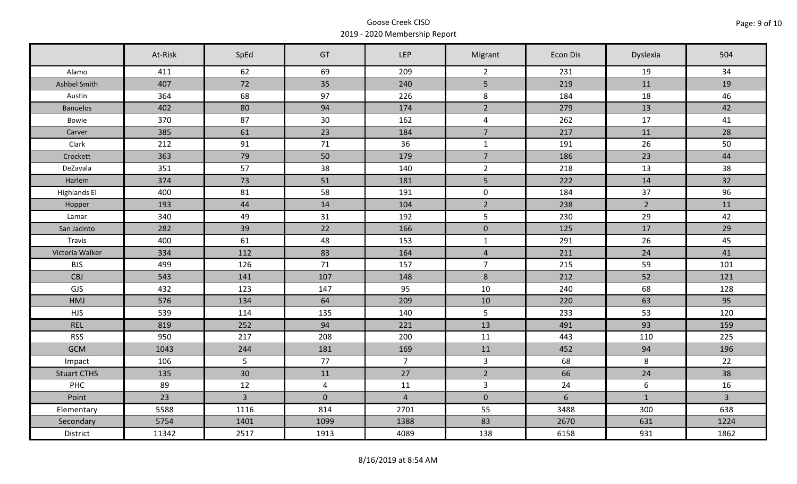|                     | At-Risk | SpEd           | GT             | <b>LEP</b>     | Migrant        | Econ Dis       | Dyslexia         | 504            |
|---------------------|---------|----------------|----------------|----------------|----------------|----------------|------------------|----------------|
| Alamo               | 411     | 62             | 69             | 209            | $\overline{2}$ | 231            | 19               | 34             |
| Ashbel Smith        | 407     | 72             | 35             | 240            | 5              | 219            | 11               | 19             |
| Austin              | 364     | 68             | 97             | 226            | 8              | 184            | 18               | 46             |
| <b>Banuelos</b>     | 402     | 80             | 94             | 174            | $\overline{2}$ | 279            | 13               | 42             |
| Bowie               | 370     | 87             | 30             | 162            | 4              | 262            | 17               | 41             |
| Carver              | 385     | 61             | 23             | 184            | $\overline{7}$ | 217            | 11               | 28             |
| Clark               | 212     | 91             | 71             | 36             | $\mathbf{1}$   | 191            | 26               | 50             |
| Crockett            | 363     | 79             | 50             | 179            | $\overline{7}$ | 186            | 23               | 44             |
| DeZavala            | 351     | 57             | 38             | 140            | $\overline{2}$ | 218            | 13               | 38             |
| Harlem              | 374     | 73             | 51             | 181            | 5 <sup>1</sup> | 222            | 14               | 32             |
| <b>Highlands El</b> | 400     | 81             | 58             | 191            | $\mathbf 0$    | 184            | 37               | 96             |
| Hopper              | 193     | 44             | 14             | 104            | $\overline{2}$ | 238            | $2^{\circ}$      | 11             |
| Lamar               | 340     | 49             | 31             | 192            | $5\phantom{.}$ | 230            | 29               | 42             |
| San Jacinto         | 282     | 39             | 22             | 166            | $\mathbf 0$    | 125            | 17               | 29             |
| Travis              | 400     | 61             | 48             | 153            | $\mathbf{1}$   | 291            | 26               | 45             |
| Victoria Walker     | 334     | 112            | 83             | 164            | $\overline{4}$ | 211            | 24               | 41             |
| <b>BJS</b>          | 499     | 126            | 71             | 157            | $\overline{7}$ | 215            | 59               | 101            |
| CBJ                 | 543     | 141            | 107            | 148            | $8\phantom{1}$ | 212            | 52               | 121            |
| GJS                 | 432     | 123            | 147            | 95             | 10             | 240            | 68               | 128            |
| <b>HMJ</b>          | 576     | 134            | 64             | 209            | 10             | 220            | 63               | 95             |
| <b>HJS</b>          | 539     | 114            | 135            | 140            | 5              | 233            | 53               | 120            |
| <b>REL</b>          | 819     | 252            | 94             | 221            | 13             | 491            | 93               | 159            |
| <b>RSS</b>          | 950     | 217            | 208            | 200            | 11             | 443            | 110              | 225            |
| <b>GCM</b>          | 1043    | 244            | 181            | 169            | 11             | 452            | 94               | 196            |
| Impact              | 106     | 5              | 77             | 7 <sup>7</sup> | $\mathbf{3}$   | 68             | 8                | 22             |
| <b>Stuart CTHS</b>  | 135     | 30             | 11             | 27             | $2^{\circ}$    | 66             | 24               | 38             |
| PHC                 | 89      | 12             | $\overline{4}$ | 11             | $\mathbf{3}$   | 24             | $\boldsymbol{6}$ | 16             |
| Point               | 23      | $\overline{3}$ | $\pmb{0}$      | $\sqrt{4}$     | $\mathbf 0$    | $6\phantom{a}$ | $\mathbf{1}$     | $\overline{3}$ |
| Elementary          | 5588    | 1116           | 814            | 2701           | 55             | 3488           | 300              | 638            |
| Secondary           | 5754    | 1401           | 1099           | 1388           | 83             | 2670           | 631              | 1224           |
| District            | 11342   | 2517           | 1913           | 4089           | 138            | 6158           | 931              | 1862           |